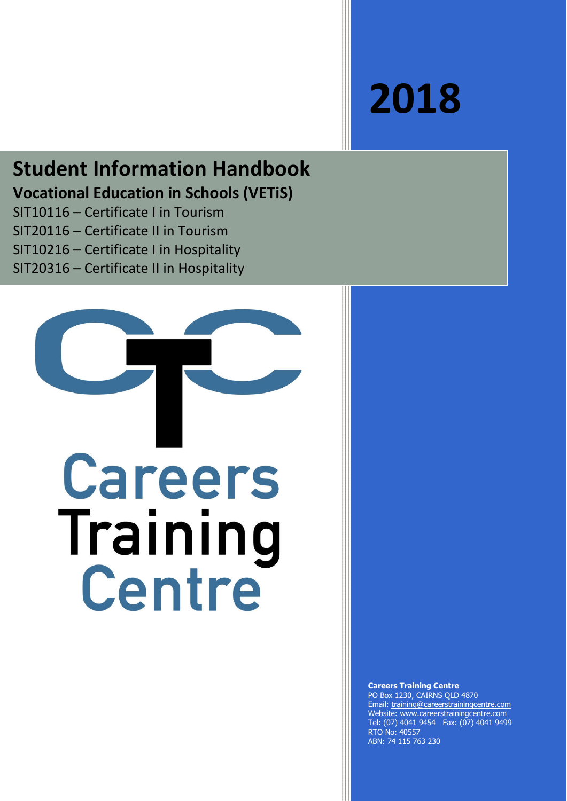# **2018**

# **Student Information Handbook Vocational Education in Schools (VETiS)**

SIT10116 – Certificate I in Tourism SIT20116 – Certificate II in Tourism SIT10216 – Certificate I in Hospitality SIT20316 – Certificate II in Hospitality



**Careers Training Centre** PO Box 1230, CAIRNS QLD 4870 Email: training@careerstrainingcentre.com Website: www.careerstrainingcentre.com Tel: (07) 4041 9454 Fax: (07) 4041 9499 RTO No: 40557 ABN: 74 115 763 230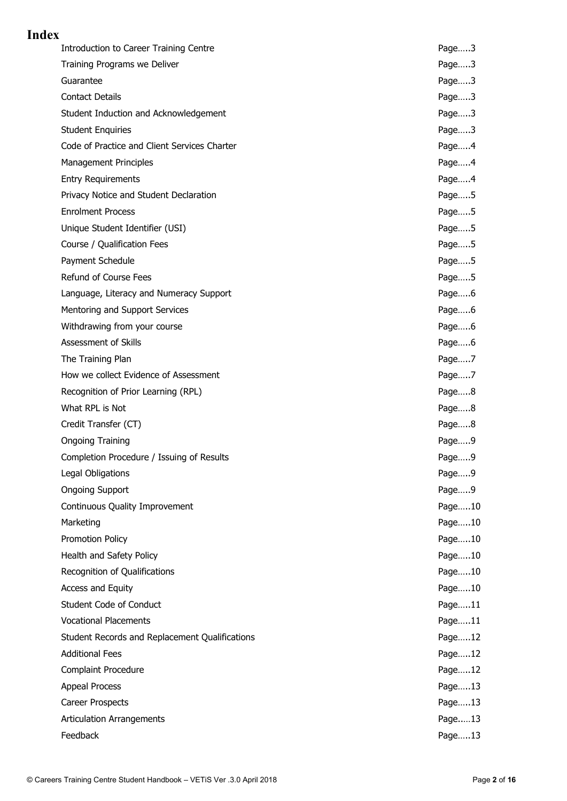# **Index**

| <b>Introduction to Career Training Centre</b>  | Page3  |
|------------------------------------------------|--------|
| Training Programs we Deliver                   | Page3  |
| Guarantee                                      | Page3  |
| <b>Contact Details</b>                         | Page3  |
| Student Induction and Acknowledgement          | Page3  |
| <b>Student Enquiries</b>                       | Page3  |
| Code of Practice and Client Services Charter   | Page4  |
| Management Principles                          | Page4  |
| <b>Entry Requirements</b>                      | Page4  |
| Privacy Notice and Student Declaration         | Page5  |
| <b>Enrolment Process</b>                       | Page5  |
| Unique Student Identifier (USI)                | Page5  |
| Course / Qualification Fees                    | Page5  |
| Payment Schedule                               | Page5  |
| Refund of Course Fees                          | Page5  |
| Language, Literacy and Numeracy Support        | Page6  |
| Mentoring and Support Services                 | Page6  |
| Withdrawing from your course                   | Page6  |
| Assessment of Skills                           | Page6  |
| The Training Plan                              | Page7  |
| How we collect Evidence of Assessment          | Page7  |
| Recognition of Prior Learning (RPL)            | Page8  |
| What RPL is Not                                | Page8  |
| Credit Transfer (CT)                           | Page8  |
| <b>Ongoing Training</b>                        | Page9  |
| Completion Procedure / Issuing of Results      | Page9  |
| Legal Obligations                              | Page9  |
| <b>Ongoing Support</b>                         | Page9  |
| Continuous Quality Improvement                 | Page10 |
| Marketing                                      | Page10 |
| Promotion Policy                               | Page10 |
| Health and Safety Policy                       | Page10 |
| Recognition of Qualifications                  | Page10 |
| Access and Equity                              | Page10 |
| Student Code of Conduct                        | Page11 |
| <b>Vocational Placements</b>                   | Page11 |
| Student Records and Replacement Qualifications | Page12 |
| <b>Additional Fees</b>                         | Page12 |
| <b>Complaint Procedure</b>                     | Page12 |
| <b>Appeal Process</b>                          | Page13 |
| Career Prospects                               | Page13 |
| <b>Articulation Arrangements</b>               | Page13 |
| Feedback                                       | Page13 |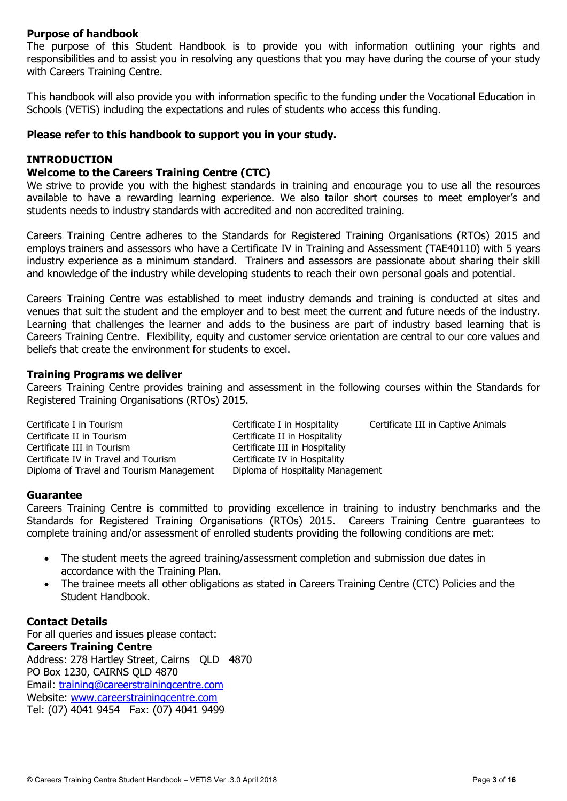#### **Purpose of handbook**

The purpose of this Student Handbook is to provide you with information outlining your rights and responsibilities and to assist you in resolving any questions that you may have during the course of your study with Careers Training Centre.

This handbook will also provide you with information specific to the funding under the Vocational Education in Schools (VETiS) including the expectations and rules of students who access this funding.

#### **Please refer to this handbook to support you in your study.**

#### **INTRODUCTION**

# **Welcome to the Careers Training Centre (CTC)**

We strive to provide you with the highest standards in training and encourage you to use all the resources available to have a rewarding learning experience. We also tailor short courses to meet employer's and students needs to industry standards with accredited and non accredited training.

Careers Training Centre adheres to the Standards for Registered Training Organisations (RTOs) 2015 and employs trainers and assessors who have a Certificate IV in Training and Assessment (TAE40110) with 5 years industry experience as a minimum standard. Trainers and assessors are passionate about sharing their skill and knowledge of the industry while developing students to reach their own personal goals and potential.

Careers Training Centre was established to meet industry demands and training is conducted at sites and venues that suit the student and the employer and to best meet the current and future needs of the industry. Learning that challenges the learner and adds to the business are part of industry based learning that is Careers Training Centre. Flexibility, equity and customer service orientation are central to our core values and beliefs that create the environment for students to excel.

#### **Training Programs we deliver**

Careers Training Centre provides training and assessment in the following courses within the Standards for Registered Training Organisations (RTOs) 2015.

Certificate I in Tourism Certificate I in Hospitality Certificate III in Captive Animals Certificate II in Tourism<br>
Certificate II in Tourism<br>
Certificate III in Hospitality<br>
Certificate III in Hospitality Certificate IV in Travel and Tourism Certificate IV in Hospitality Diploma of Travel and Tourism Management Diploma of Hospitality Management

Certificate III in Hospitality

#### **Guarantee**

Careers Training Centre is committed to providing excellence in training to industry benchmarks and the Standards for Registered Training Organisations (RTOs) 2015. Careers Training Centre guarantees to complete training and/or assessment of enrolled students providing the following conditions are met:

- The student meets the agreed training/assessment completion and submission due dates in accordance with the Training Plan.
- The trainee meets all other obligations as stated in Careers Training Centre (CTC) Policies and the Student Handbook.

#### **Contact Details**

For all queries and issues please contact: **Careers Training Centre**

Address: 278 Hartley Street, Cairns QLD 4870 PO Box 1230, CAIRNS QLD 4870 Email: training@careerstrainingcentre.com Website: www.careerstrainingcentre.com Tel: (07) 4041 9454 Fax: (07) 4041 9499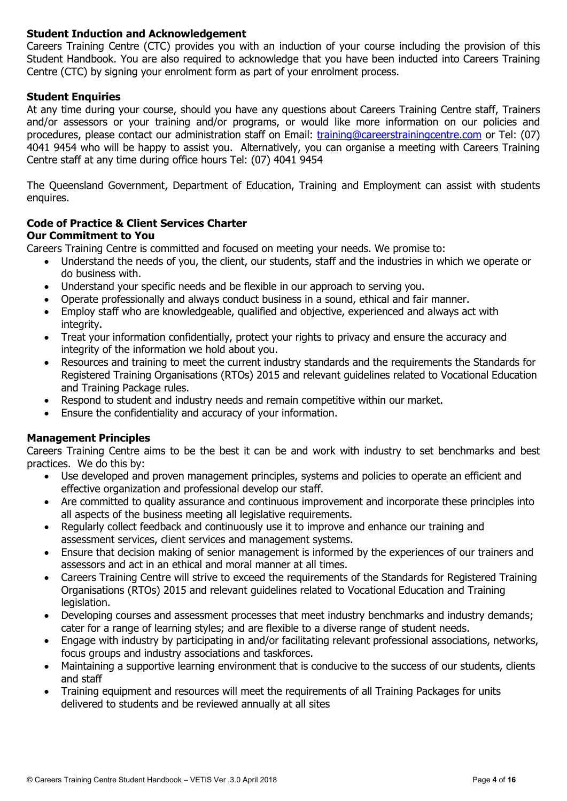# **Student Induction and Acknowledgement**

Careers Training Centre (CTC) provides you with an induction of your course including the provision of this Student Handbook. You are also required to acknowledge that you have been inducted into Careers Training Centre (CTC) by signing your enrolment form as part of your enrolment process.

#### **Student Enquiries**

At any time during your course, should you have any questions about Careers Training Centre staff, Trainers and/or assessors or your training and/or programs, or would like more information on our policies and procedures, please contact our administration staff on Email: training@careerstrainingcentre.com or Tel: (07) 4041 9454 who will be happy to assist you. Alternatively, you can organise a meeting with Careers Training Centre staff at any time during office hours Tel: (07) 4041 9454

The Queensland Government, Department of Education, Training and Employment can assist with students enquires.

# **Code of Practice & Client Services Charter**

# **Our Commitment to You**

Careers Training Centre is committed and focused on meeting your needs. We promise to:

- Understand the needs of you, the client, our students, staff and the industries in which we operate or do business with.
- Understand your specific needs and be flexible in our approach to serving you.
- Operate professionally and always conduct business in a sound, ethical and fair manner.
- Employ staff who are knowledgeable, qualified and objective, experienced and always act with integrity.
- Treat your information confidentially, protect your rights to privacy and ensure the accuracy and integrity of the information we hold about you.
- Resources and training to meet the current industry standards and the requirements the Standards for Registered Training Organisations (RTOs) 2015 and relevant guidelines related to Vocational Education and Training Package rules.
- Respond to student and industry needs and remain competitive within our market.
- Ensure the confidentiality and accuracy of your information.

# **Management Principles**

Careers Training Centre aims to be the best it can be and work with industry to set benchmarks and best practices. We do this by:

- Use developed and proven management principles, systems and policies to operate an efficient and effective organization and professional develop our staff.
- Are committed to quality assurance and continuous improvement and incorporate these principles into all aspects of the business meeting all legislative requirements.
- Regularly collect feedback and continuously use it to improve and enhance our training and assessment services, client services and management systems.
- Ensure that decision making of senior management is informed by the experiences of our trainers and assessors and act in an ethical and moral manner at all times.
- Careers Training Centre will strive to exceed the requirements of the Standards for Registered Training Organisations (RTOs) 2015 and relevant guidelines related to Vocational Education and Training legislation.
- Developing courses and assessment processes that meet industry benchmarks and industry demands; cater for a range of learning styles; and are flexible to a diverse range of student needs.
- Engage with industry by participating in and/or facilitating relevant professional associations, networks, focus groups and industry associations and taskforces.
- Maintaining a supportive learning environment that is conducive to the success of our students, clients and staff
- Training equipment and resources will meet the requirements of all Training Packages for units delivered to students and be reviewed annually at all sites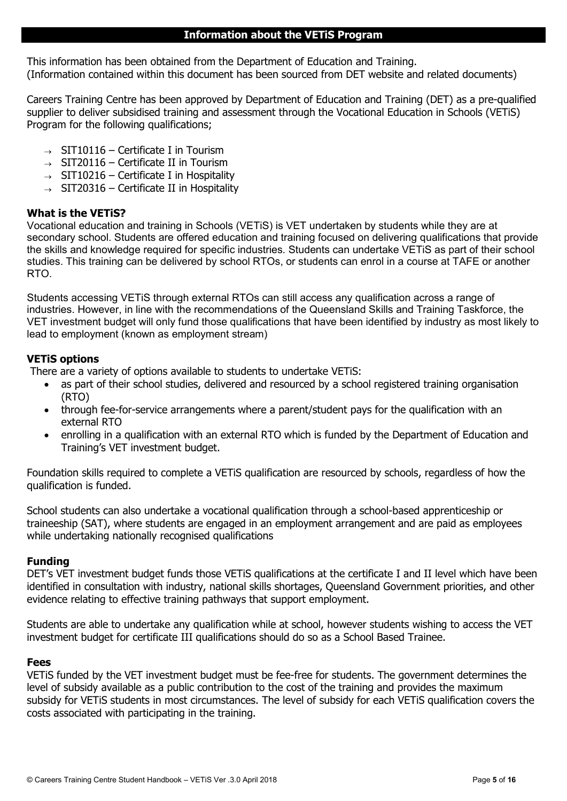#### **Information about the VETiS Program**

This information has been obtained from the Department of Education and Training. (Information contained within this document has been sourced from DET website and related documents)

Careers Training Centre has been approved by Department of Education and Training (DET) as a pre-qualified supplier to deliver subsidised training and assessment through the Vocational Education in Schools (VETiS) Program for the following qualifications;

- $\rightarrow$  SIT10116 Certificate I in Tourism
- $\rightarrow$  SIT20116 Certificate II in Tourism
- $\rightarrow$  SIT10216 Certificate I in Hospitality
- $\rightarrow$  SIT20316 Certificate II in Hospitality

#### **What is the VETiS?**

Vocational education and training in Schools (VETiS) is VET undertaken by students while they are at secondary school. Students are offered education and training focused on delivering qualifications that provide the skills and knowledge required for specific industries. Students can undertake VETiS as part of their school studies. This training can be delivered by school RTOs, or students can enrol in a course at TAFE or another RTO.

Students accessing VETiS through external RTOs can still access any qualification across a range of industries. However, in line with the recommendations of the Queensland Skills and Training Taskforce, the VET investment budget will only fund those qualifications that have been identified by industry as most likely to lead to employment (known as employment stream)

#### **VETiS options**

There are a variety of options available to students to undertake VETiS:

- as part of their school studies, delivered and resourced by a school registered training organisation (RTO)
- through fee-for-service arrangements where a parent/student pays for the qualification with an external RTO
- enrolling in a qualification with an external RTO which is funded by the Department of Education and Training's VET investment budget.

Foundation skills required to complete a VETiS qualification are resourced by schools, regardless of how the qualification is funded.

School students can also undertake a vocational qualification through a school-based apprenticeship or traineeship (SAT), where students are engaged in an employment arrangement and are paid as employees while undertaking nationally recognised qualifications

# **Funding**

DET's VET investment budget funds those VETiS qualifications at the certificate I and II level which have been identified in consultation with industry, national skills shortages, Queensland Government priorities, and other evidence relating to effective training pathways that support employment.

Students are able to undertake any qualification while at school, however students wishing to access the VET investment budget for certificate III qualifications should do so as a School Based Trainee.

#### **Fees**

VETiS funded by the VET investment budget must be fee-free for students. The government determines the level of subsidy available as a public contribution to the cost of the training and provides the maximum subsidy for VETiS students in most circumstances. The level of subsidy for each VETiS qualification covers the costs associated with participating in the training.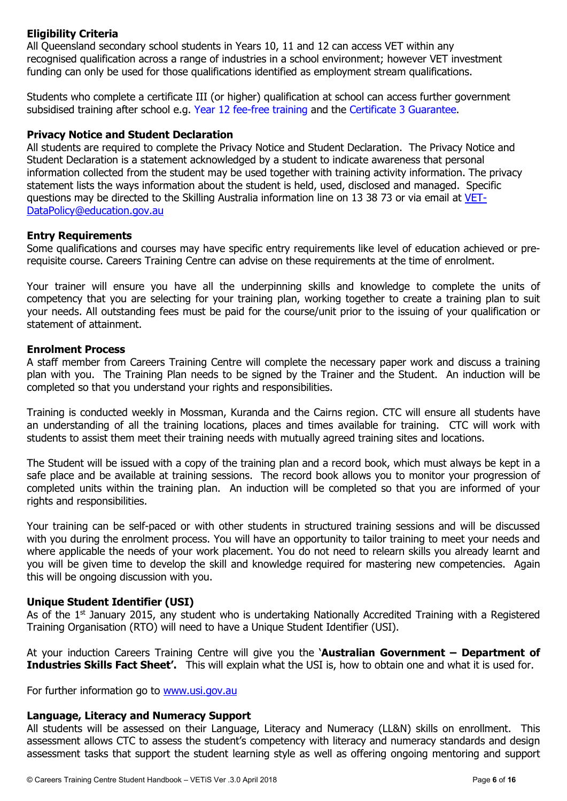# **Eligibility Criteria**

All Queensland secondary school students in Years 10, 11 and 12 can access VET within any recognised qualification across a range of industries in a school environment; however VET investment funding can only be used for those qualifications identified as employment stream qualifications.

Students who complete a certificate III (or higher) qualification at school can access further government subsidised training after school e.g. Year 12 fee-free training and the Certificate 3 Guarantee.

#### **Privacy Notice and Student Declaration**

All students are required to complete the Privacy Notice and Student Declaration. The Privacy Notice and Student Declaration is a statement acknowledged by a student to indicate awareness that personal information collected from the student may be used together with training activity information. The privacy statement lists the ways information about the student is held, used, disclosed and managed. Specific questions may be directed to the Skilling Australia information line on 13 38 73 or via email at VET-DataPolicy@education.gov.au

#### **Entry Requirements**

Some qualifications and courses may have specific entry requirements like level of education achieved or prerequisite course. Careers Training Centre can advise on these requirements at the time of enrolment.

Your trainer will ensure you have all the underpinning skills and knowledge to complete the units of competency that you are selecting for your training plan, working together to create a training plan to suit your needs. All outstanding fees must be paid for the course/unit prior to the issuing of your qualification or statement of attainment.

#### **Enrolment Process**

A staff member from Careers Training Centre will complete the necessary paper work and discuss a training plan with you. The Training Plan needs to be signed by the Trainer and the Student. An induction will be completed so that you understand your rights and responsibilities.

Training is conducted weekly in Mossman, Kuranda and the Cairns region. CTC will ensure all students have an understanding of all the training locations, places and times available for training. CTC will work with students to assist them meet their training needs with mutually agreed training sites and locations.

The Student will be issued with a copy of the training plan and a record book, which must always be kept in a safe place and be available at training sessions. The record book allows you to monitor your progression of completed units within the training plan. An induction will be completed so that you are informed of your rights and responsibilities.

Your training can be self-paced or with other students in structured training sessions and will be discussed with you during the enrolment process. You will have an opportunity to tailor training to meet your needs and where applicable the needs of your work placement. You do not need to relearn skills you already learnt and you will be given time to develop the skill and knowledge required for mastering new competencies. Again this will be ongoing discussion with you.

# **Unique Student Identifier (USI)**

As of the 1<sup>st</sup> January 2015, any student who is undertaking Nationally Accredited Training with a Registered Training Organisation (RTO) will need to have a Unique Student Identifier (USI).

At your induction Careers Training Centre will give you the '**Australian Government – Department of Industries Skills Fact Sheet'.** This will explain what the USI is, how to obtain one and what it is used for.

For further information go to www.usi.gov.au

# **Language, Literacy and Numeracy Support**

All students will be assessed on their Language, Literacy and Numeracy (LL&N) skills on enrollment. This assessment allows CTC to assess the student's competency with literacy and numeracy standards and design assessment tasks that support the student learning style as well as offering ongoing mentoring and support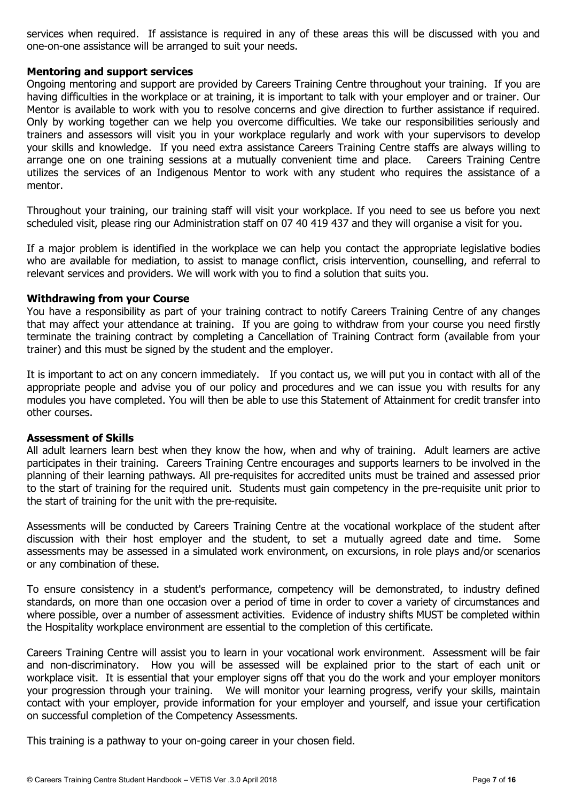services when required. If assistance is required in any of these areas this will be discussed with you and one-on-one assistance will be arranged to suit your needs.

#### **Mentoring and support services**

Ongoing mentoring and support are provided by Careers Training Centre throughout your training. If you are having difficulties in the workplace or at training, it is important to talk with your employer and or trainer. Our Mentor is available to work with you to resolve concerns and give direction to further assistance if required. Only by working together can we help you overcome difficulties. We take our responsibilities seriously and trainers and assessors will visit you in your workplace regularly and work with your supervisors to develop your skills and knowledge. If you need extra assistance Careers Training Centre staffs are always willing to arrange one on one training sessions at a mutually convenient time and place. Careers Training Centre utilizes the services of an Indigenous Mentor to work with any student who requires the assistance of a mentor.

Throughout your training, our training staff will visit your workplace. If you need to see us before you next scheduled visit, please ring our Administration staff on 07 40 419 437 and they will organise a visit for you.

If a major problem is identified in the workplace we can help you contact the appropriate legislative bodies who are available for mediation, to assist to manage conflict, crisis intervention, counselling, and referral to relevant services and providers. We will work with you to find a solution that suits you.

#### **Withdrawing from your Course**

You have a responsibility as part of your training contract to notify Careers Training Centre of any changes that may affect your attendance at training. If you are going to withdraw from your course you need firstly terminate the training contract by completing a Cancellation of Training Contract form (available from your trainer) and this must be signed by the student and the employer.

It is important to act on any concern immediately. If you contact us, we will put you in contact with all of the appropriate people and advise you of our policy and procedures and we can issue you with results for any modules you have completed. You will then be able to use this Statement of Attainment for credit transfer into other courses.

#### **Assessment of Skills**

All adult learners learn best when they know the how, when and why of training. Adult learners are active participates in their training. Careers Training Centre encourages and supports learners to be involved in the planning of their learning pathways. All pre-requisites for accredited units must be trained and assessed prior to the start of training for the required unit. Students must gain competency in the pre-requisite unit prior to the start of training for the unit with the pre-requisite.

Assessments will be conducted by Careers Training Centre at the vocational workplace of the student after discussion with their host employer and the student, to set a mutually agreed date and time. Some assessments may be assessed in a simulated work environment, on excursions, in role plays and/or scenarios or any combination of these.

To ensure consistency in a student's performance, competency will be demonstrated, to industry defined standards, on more than one occasion over a period of time in order to cover a variety of circumstances and where possible, over a number of assessment activities. Evidence of industry shifts MUST be completed within the Hospitality workplace environment are essential to the completion of this certificate.

Careers Training Centre will assist you to learn in your vocational work environment. Assessment will be fair and non-discriminatory. How you will be assessed will be explained prior to the start of each unit or workplace visit. It is essential that your employer signs off that you do the work and your employer monitors your progression through your training. We will monitor your learning progress, verify your skills, maintain contact with your employer, provide information for your employer and yourself, and issue your certification on successful completion of the Competency Assessments.

This training is a pathway to your on-going career in your chosen field.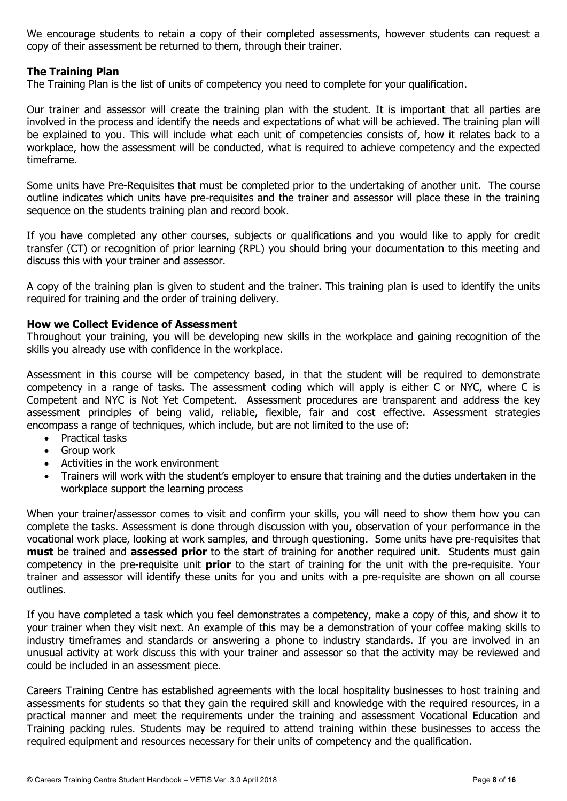We encourage students to retain a copy of their completed assessments, however students can request a copy of their assessment be returned to them, through their trainer.

#### **The Training Plan**

The Training Plan is the list of units of competency you need to complete for your qualification.

Our trainer and assessor will create the training plan with the student. It is important that all parties are involved in the process and identify the needs and expectations of what will be achieved. The training plan will be explained to you. This will include what each unit of competencies consists of, how it relates back to a workplace, how the assessment will be conducted, what is required to achieve competency and the expected timeframe.

Some units have Pre-Requisites that must be completed prior to the undertaking of another unit. The course outline indicates which units have pre-requisites and the trainer and assessor will place these in the training sequence on the students training plan and record book.

If you have completed any other courses, subjects or qualifications and you would like to apply for credit transfer (CT) or recognition of prior learning (RPL) you should bring your documentation to this meeting and discuss this with your trainer and assessor.

A copy of the training plan is given to student and the trainer. This training plan is used to identify the units required for training and the order of training delivery.

#### **How we Collect Evidence of Assessment**

Throughout your training, you will be developing new skills in the workplace and gaining recognition of the skills you already use with confidence in the workplace.

Assessment in this course will be competency based, in that the student will be required to demonstrate competency in a range of tasks. The assessment coding which will apply is either C or NYC, where C is Competent and NYC is Not Yet Competent. Assessment procedures are transparent and address the key assessment principles of being valid, reliable, flexible, fair and cost effective. Assessment strategies encompass a range of techniques, which include, but are not limited to the use of:

- Practical tasks
- Group work
- Activities in the work environment
- Trainers will work with the student's employer to ensure that training and the duties undertaken in the workplace support the learning process

When your trainer/assessor comes to visit and confirm your skills, you will need to show them how you can complete the tasks. Assessment is done through discussion with you, observation of your performance in the vocational work place, looking at work samples, and through questioning. Some units have pre-requisites that **must** be trained and **assessed prior** to the start of training for another required unit. Students must gain competency in the pre-requisite unit **prior** to the start of training for the unit with the pre-requisite. Your trainer and assessor will identify these units for you and units with a pre-requisite are shown on all course outlines.

If you have completed a task which you feel demonstrates a competency, make a copy of this, and show it to your trainer when they visit next. An example of this may be a demonstration of your coffee making skills to industry timeframes and standards or answering a phone to industry standards. If you are involved in an unusual activity at work discuss this with your trainer and assessor so that the activity may be reviewed and could be included in an assessment piece.

Careers Training Centre has established agreements with the local hospitality businesses to host training and assessments for students so that they gain the required skill and knowledge with the required resources, in a practical manner and meet the requirements under the training and assessment Vocational Education and Training packing rules. Students may be required to attend training within these businesses to access the required equipment and resources necessary for their units of competency and the qualification.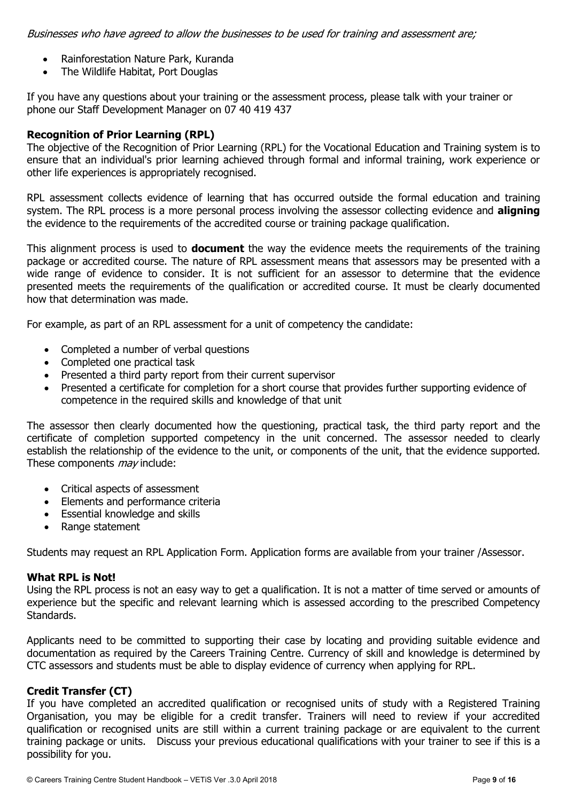Businesses who have agreed to allow the businesses to be used for training and assessment are;

- Rainforestation Nature Park, Kuranda
- The Wildlife Habitat, Port Douglas

If you have any questions about your training or the assessment process, please talk with your trainer or phone our Staff Development Manager on 07 40 419 437

#### **Recognition of Prior Learning (RPL)**

The objective of the Recognition of Prior Learning (RPL) for the Vocational Education and Training system is to ensure that an individual's prior learning achieved through formal and informal training, work experience or other life experiences is appropriately recognised.

RPL assessment collects evidence of learning that has occurred outside the formal education and training system. The RPL process is a more personal process involving the assessor collecting evidence and **aligning**  the evidence to the requirements of the accredited course or training package qualification.

This alignment process is used to **document** the way the evidence meets the requirements of the training package or accredited course. The nature of RPL assessment means that assessors may be presented with a wide range of evidence to consider. It is not sufficient for an assessor to determine that the evidence presented meets the requirements of the qualification or accredited course. It must be clearly documented how that determination was made.

For example, as part of an RPL assessment for a unit of competency the candidate:

- Completed a number of verbal questions
- Completed one practical task
- Presented a third party report from their current supervisor
- Presented a certificate for completion for a short course that provides further supporting evidence of competence in the required skills and knowledge of that unit

The assessor then clearly documented how the questioning, practical task, the third party report and the certificate of completion supported competency in the unit concerned. The assessor needed to clearly establish the relationship of the evidence to the unit, or components of the unit, that the evidence supported. These components *may* include:

- Critical aspects of assessment
- Elements and performance criteria
- Essential knowledge and skills
- Range statement

Students may request an RPL Application Form. Application forms are available from your trainer /Assessor.

#### **What RPL is Not!**

Using the RPL process is not an easy way to get a qualification. It is not a matter of time served or amounts of experience but the specific and relevant learning which is assessed according to the prescribed Competency Standards.

Applicants need to be committed to supporting their case by locating and providing suitable evidence and documentation as required by the Careers Training Centre. Currency of skill and knowledge is determined by CTC assessors and students must be able to display evidence of currency when applying for RPL.

#### **Credit Transfer (CT)**

If you have completed an accredited qualification or recognised units of study with a Registered Training Organisation, you may be eligible for a credit transfer. Trainers will need to review if your accredited qualification or recognised units are still within a current training package or are equivalent to the current training package or units. Discuss your previous educational qualifications with your trainer to see if this is a possibility for you.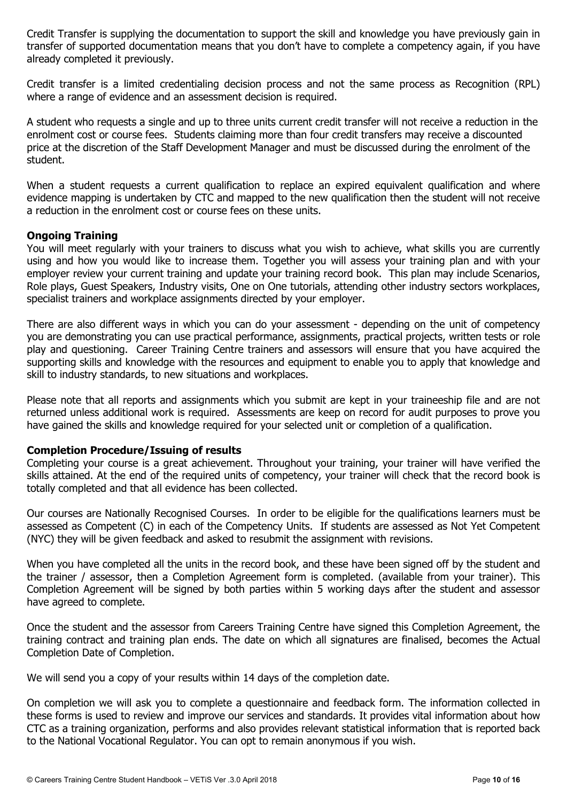Credit Transfer is supplying the documentation to support the skill and knowledge you have previously gain in transfer of supported documentation means that you don't have to complete a competency again, if you have already completed it previously.

Credit transfer is a limited credentialing decision process and not the same process as Recognition (RPL) where a range of evidence and an assessment decision is required.

A student who requests a single and up to three units current credit transfer will not receive a reduction in the enrolment cost or course fees. Students claiming more than four credit transfers may receive a discounted price at the discretion of the Staff Development Manager and must be discussed during the enrolment of the student.

When a student requests a current qualification to replace an expired equivalent qualification and where evidence mapping is undertaken by CTC and mapped to the new qualification then the student will not receive a reduction in the enrolment cost or course fees on these units.

#### **Ongoing Training**

You will meet regularly with your trainers to discuss what you wish to achieve, what skills you are currently using and how you would like to increase them. Together you will assess your training plan and with your employer review your current training and update your training record book. This plan may include Scenarios, Role plays, Guest Speakers, Industry visits, One on One tutorials, attending other industry sectors workplaces, specialist trainers and workplace assignments directed by your employer.

There are also different ways in which you can do your assessment - depending on the unit of competency you are demonstrating you can use practical performance, assignments, practical projects, written tests or role play and questioning. Career Training Centre trainers and assessors will ensure that you have acquired the supporting skills and knowledge with the resources and equipment to enable you to apply that knowledge and skill to industry standards, to new situations and workplaces.

Please note that all reports and assignments which you submit are kept in your traineeship file and are not returned unless additional work is required. Assessments are keep on record for audit purposes to prove you have gained the skills and knowledge required for your selected unit or completion of a qualification.

#### **Completion Procedure/Issuing of results**

Completing your course is a great achievement. Throughout your training, your trainer will have verified the skills attained. At the end of the required units of competency, your trainer will check that the record book is totally completed and that all evidence has been collected.

Our courses are Nationally Recognised Courses. In order to be eligible for the qualifications learners must be assessed as Competent (C) in each of the Competency Units. If students are assessed as Not Yet Competent (NYC) they will be given feedback and asked to resubmit the assignment with revisions.

When you have completed all the units in the record book, and these have been signed off by the student and the trainer / assessor, then a Completion Agreement form is completed. (available from your trainer). This Completion Agreement will be signed by both parties within 5 working days after the student and assessor have agreed to complete.

Once the student and the assessor from Careers Training Centre have signed this Completion Agreement, the training contract and training plan ends. The date on which all signatures are finalised, becomes the Actual Completion Date of Completion.

We will send you a copy of your results within 14 days of the completion date.

On completion we will ask you to complete a questionnaire and feedback form. The information collected in these forms is used to review and improve our services and standards. It provides vital information about how CTC as a training organization, performs and also provides relevant statistical information that is reported back to the National Vocational Regulator. You can opt to remain anonymous if you wish.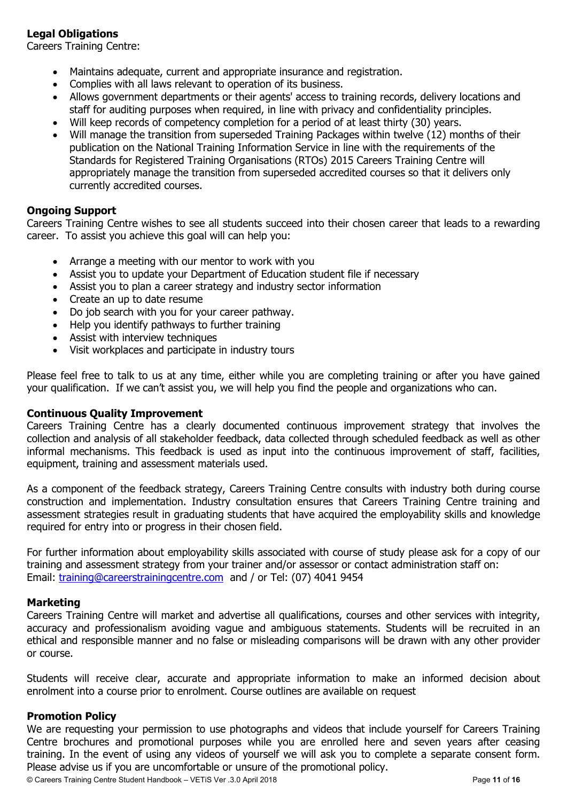# **Legal Obligations**

Careers Training Centre:

- Maintains adequate, current and appropriate insurance and registration.
- Complies with all laws relevant to operation of its business.
- Allows government departments or their agents' access to training records, delivery locations and staff for auditing purposes when required, in line with privacy and confidentiality principles.
- Will keep records of competency completion for a period of at least thirty (30) years.
- Will manage the transition from superseded Training Packages within twelve (12) months of their publication on the National Training Information Service in line with the requirements of the Standards for Registered Training Organisations (RTOs) 2015 Careers Training Centre will appropriately manage the transition from superseded accredited courses so that it delivers only currently accredited courses.

# **Ongoing Support**

Careers Training Centre wishes to see all students succeed into their chosen career that leads to a rewarding career. To assist you achieve this goal will can help you:

- Arrange a meeting with our mentor to work with you
- Assist you to update your Department of Education student file if necessary
- Assist you to plan a career strategy and industry sector information
- Create an up to date resume
- Do job search with you for your career pathway.
- Help you identify pathways to further training
- Assist with interview techniques
- Visit workplaces and participate in industry tours

Please feel free to talk to us at any time, either while you are completing training or after you have gained your qualification. If we can't assist you, we will help you find the people and organizations who can.

#### **Continuous Quality Improvement**

Careers Training Centre has a clearly documented continuous improvement strategy that involves the collection and analysis of all stakeholder feedback, data collected through scheduled feedback as well as other informal mechanisms. This feedback is used as input into the continuous improvement of staff, facilities, equipment, training and assessment materials used.

As a component of the feedback strategy, Careers Training Centre consults with industry both during course construction and implementation. Industry consultation ensures that Careers Training Centre training and assessment strategies result in graduating students that have acquired the employability skills and knowledge required for entry into or progress in their chosen field.

For further information about employability skills associated with course of study please ask for a copy of our training and assessment strategy from your trainer and/or assessor or contact administration staff on: Email: training@careerstrainingcentre.com and / or Tel: (07) 4041 9454

#### **Marketing**

Careers Training Centre will market and advertise all qualifications, courses and other services with integrity, accuracy and professionalism avoiding vague and ambiguous statements. Students will be recruited in an ethical and responsible manner and no false or misleading comparisons will be drawn with any other provider or course.

Students will receive clear, accurate and appropriate information to make an informed decision about enrolment into a course prior to enrolment. Course outlines are available on request

#### **Promotion Policy**

We are requesting your permission to use photographs and videos that include yourself for Careers Training Centre brochures and promotional purposes while you are enrolled here and seven years after ceasing training. In the event of using any videos of yourself we will ask you to complete a separate consent form. Please advise us if you are uncomfortable or unsure of the promotional policy.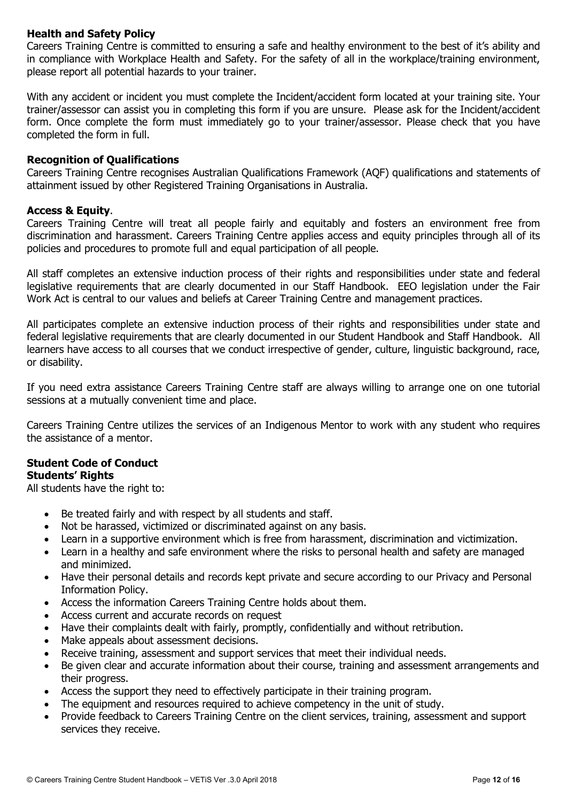# **Health and Safety Policy**

Careers Training Centre is committed to ensuring a safe and healthy environment to the best of it's ability and in compliance with Workplace Health and Safety. For the safety of all in the workplace/training environment, please report all potential hazards to your trainer.

With any accident or incident you must complete the Incident/accident form located at your training site. Your trainer/assessor can assist you in completing this form if you are unsure. Please ask for the Incident/accident form. Once complete the form must immediately go to your trainer/assessor. Please check that you have completed the form in full.

#### **Recognition of Qualifications**

Careers Training Centre recognises Australian Qualifications Framework (AQF) qualifications and statements of attainment issued by other Registered Training Organisations in Australia.

#### **Access & Equity**.

Careers Training Centre will treat all people fairly and equitably and fosters an environment free from discrimination and harassment. Careers Training Centre applies access and equity principles through all of its policies and procedures to promote full and equal participation of all people.

All staff completes an extensive induction process of their rights and responsibilities under state and federal legislative requirements that are clearly documented in our Staff Handbook. EEO legislation under the Fair Work Act is central to our values and beliefs at Career Training Centre and management practices.

All participates complete an extensive induction process of their rights and responsibilities under state and federal legislative requirements that are clearly documented in our Student Handbook and Staff Handbook. All learners have access to all courses that we conduct irrespective of gender, culture, linguistic background, race, or disability.

If you need extra assistance Careers Training Centre staff are always willing to arrange one on one tutorial sessions at a mutually convenient time and place.

Careers Training Centre utilizes the services of an Indigenous Mentor to work with any student who requires the assistance of a mentor.

#### **Student Code of Conduct Students' Rights**

All students have the right to:

- Be treated fairly and with respect by all students and staff.
- Not be harassed, victimized or discriminated against on any basis.
- Learn in a supportive environment which is free from harassment, discrimination and victimization.
- Learn in a healthy and safe environment where the risks to personal health and safety are managed and minimized.
- Have their personal details and records kept private and secure according to our Privacy and Personal Information Policy.
- Access the information Careers Training Centre holds about them.
- Access current and accurate records on request
- Have their complaints dealt with fairly, promptly, confidentially and without retribution.
- Make appeals about assessment decisions.
- Receive training, assessment and support services that meet their individual needs.
- Be given clear and accurate information about their course, training and assessment arrangements and their progress.
- Access the support they need to effectively participate in their training program.
- The equipment and resources required to achieve competency in the unit of study.
- Provide feedback to Careers Training Centre on the client services, training, assessment and support services they receive.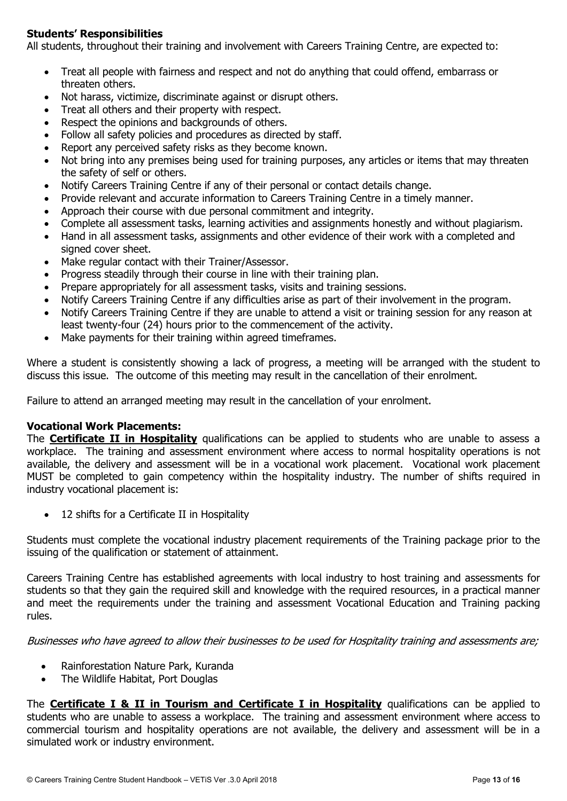# **Students' Responsibilities**

All students, throughout their training and involvement with Careers Training Centre, are expected to:

- Treat all people with fairness and respect and not do anything that could offend, embarrass or threaten others.
- Not harass, victimize, discriminate against or disrupt others.
- Treat all others and their property with respect.
- Respect the opinions and backgrounds of others.
- Follow all safety policies and procedures as directed by staff.
- Report any perceived safety risks as they become known.
- Not bring into any premises being used for training purposes, any articles or items that may threaten the safety of self or others.
- Notify Careers Training Centre if any of their personal or contact details change.
- Provide relevant and accurate information to Careers Training Centre in a timely manner.
- Approach their course with due personal commitment and integrity.
- Complete all assessment tasks, learning activities and assignments honestly and without plagiarism.
- Hand in all assessment tasks, assignments and other evidence of their work with a completed and signed cover sheet.
- Make regular contact with their Trainer/Assessor.
- Progress steadily through their course in line with their training plan.
- Prepare appropriately for all assessment tasks, visits and training sessions.
- Notify Careers Training Centre if any difficulties arise as part of their involvement in the program.
- Notify Careers Training Centre if they are unable to attend a visit or training session for any reason at least twenty-four (24) hours prior to the commencement of the activity.
- Make payments for their training within agreed timeframes.

Where a student is consistently showing a lack of progress, a meeting will be arranged with the student to discuss this issue. The outcome of this meeting may result in the cancellation of their enrolment.

Failure to attend an arranged meeting may result in the cancellation of your enrolment.

#### **Vocational Work Placements:**

The **Certificate II in Hospitality** qualifications can be applied to students who are unable to assess a workplace. The training and assessment environment where access to normal hospitality operations is not available, the delivery and assessment will be in a vocational work placement. Vocational work placement MUST be completed to gain competency within the hospitality industry. The number of shifts required in industry vocational placement is:

• 12 shifts for a Certificate II in Hospitality

Students must complete the vocational industry placement requirements of the Training package prior to the issuing of the qualification or statement of attainment.

Careers Training Centre has established agreements with local industry to host training and assessments for students so that they gain the required skill and knowledge with the required resources, in a practical manner and meet the requirements under the training and assessment Vocational Education and Training packing rules.

Businesses who have agreed to allow their businesses to be used for Hospitality training and assessments are;

- Rainforestation Nature Park, Kuranda
- The Wildlife Habitat, Port Douglas

The **Certificate I & II in Tourism and Certificate I in Hospitality** qualifications can be applied to students who are unable to assess a workplace. The training and assessment environment where access to commercial tourism and hospitality operations are not available, the delivery and assessment will be in a simulated work or industry environment.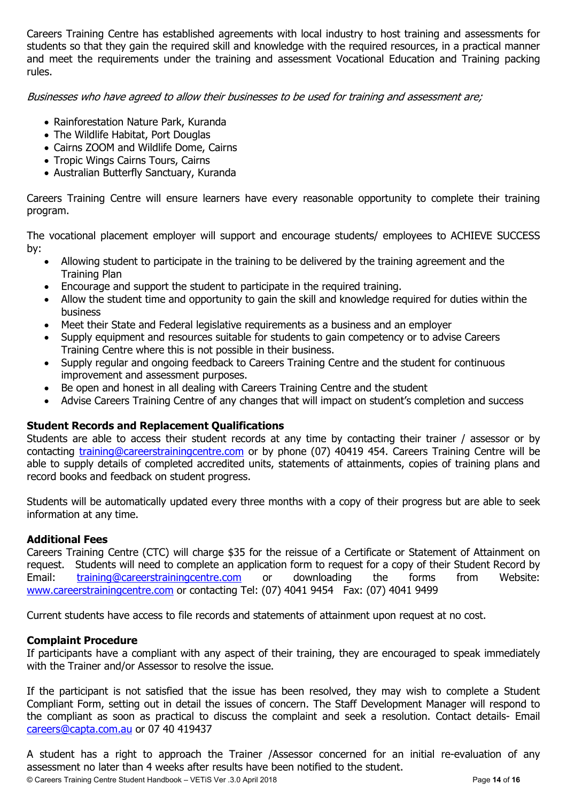Careers Training Centre has established agreements with local industry to host training and assessments for students so that they gain the required skill and knowledge with the required resources, in a practical manner and meet the requirements under the training and assessment Vocational Education and Training packing rules.

Businesses who have agreed to allow their businesses to be used for training and assessment are;

- Rainforestation Nature Park, Kuranda
- The Wildlife Habitat, Port Douglas
- Cairns ZOOM and Wildlife Dome, Cairns
- Tropic Wings Cairns Tours, Cairns
- Australian Butterfly Sanctuary, Kuranda

Careers Training Centre will ensure learners have every reasonable opportunity to complete their training program.

The vocational placement employer will support and encourage students/ employees to ACHIEVE SUCCESS by:

- Allowing student to participate in the training to be delivered by the training agreement and the Training Plan
- Encourage and support the student to participate in the required training.
- Allow the student time and opportunity to gain the skill and knowledge required for duties within the business
- Meet their State and Federal legislative requirements as a business and an employer
- Supply equipment and resources suitable for students to gain competency or to advise Careers Training Centre where this is not possible in their business.
- Supply regular and ongoing feedback to Careers Training Centre and the student for continuous improvement and assessment purposes.
- Be open and honest in all dealing with Careers Training Centre and the student
- Advise Careers Training Centre of any changes that will impact on student's completion and success

# **Student Records and Replacement Qualifications**

Students are able to access their student records at any time by contacting their trainer / assessor or by contacting training@careerstrainingcentre.com or by phone (07) 40419 454. Careers Training Centre will be able to supply details of completed accredited units, statements of attainments, copies of training plans and record books and feedback on student progress.

Students will be automatically updated every three months with a copy of their progress but are able to seek information at any time.

# **Additional Fees**

Careers Training Centre (CTC) will charge \$35 for the reissue of a Certificate or Statement of Attainment on request. Students will need to complete an application form to request for a copy of their Student Record by Email: training@careerstrainingcentre.com or downloading the forms from Website: www.careerstrainingcentre.com or contacting Tel: (07) 4041 9454 Fax: (07) 4041 9499

Current students have access to file records and statements of attainment upon request at no cost.

# **Complaint Procedure**

If participants have a compliant with any aspect of their training, they are encouraged to speak immediately with the Trainer and/or Assessor to resolve the issue.

If the participant is not satisfied that the issue has been resolved, they may wish to complete a Student Compliant Form, setting out in detail the issues of concern. The Staff Development Manager will respond to the compliant as soon as practical to discuss the complaint and seek a resolution. Contact details- Email careers@capta.com.au or 07 40 419437

© Careers Training Centre Student Handbook – VETiS Ver .3.0 April 2018 Page **14** of **16** A student has a right to approach the Trainer /Assessor concerned for an initial re-evaluation of any assessment no later than 4 weeks after results have been notified to the student.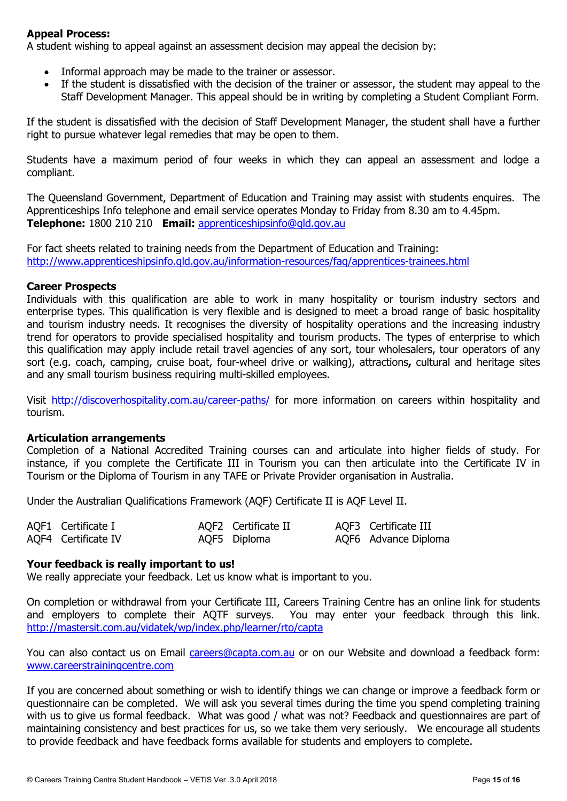### **Appeal Process:**

A student wishing to appeal against an assessment decision may appeal the decision by:

- Informal approach may be made to the trainer or assessor.
- If the student is dissatisfied with the decision of the trainer or assessor, the student may appeal to the Staff Development Manager. This appeal should be in writing by completing a Student Compliant Form.

If the student is dissatisfied with the decision of Staff Development Manager, the student shall have a further right to pursue whatever legal remedies that may be open to them.

Students have a maximum period of four weeks in which they can appeal an assessment and lodge a compliant.

The Queensland Government, Department of Education and Training may assist with students enquires. The Apprenticeships Info telephone and email service operates Monday to Friday from 8.30 am to 4.45pm. **Telephone:** 1800 210 210 **Email:** apprenticeshipsinfo@qld.gov.au

For fact sheets related to training needs from the Department of Education and Training: http://www.apprenticeshipsinfo.qld.gov.au/information-resources/faq/apprentices-trainees.html

#### **Career Prospects**

Individuals with this qualification are able to work in many hospitality or tourism industry sectors and enterprise types. This qualification is very flexible and is designed to meet a broad range of basic hospitality and tourism industry needs. It recognises the diversity of hospitality operations and the increasing industry trend for operators to provide specialised hospitality and tourism products. The types of enterprise to which this qualification may apply include retail travel agencies of any sort, tour wholesalers, tour operators of any sort (e.g. coach, camping, cruise boat, four-wheel drive or walking), attractions**,** cultural and heritage sites and any small tourism business requiring multi-skilled employees.

Visit http://discoverhospitality.com.au/career-paths/ for more information on careers within hospitality and tourism.

#### **Articulation arrangements**

Completion of a National Accredited Training courses can and articulate into higher fields of study. For instance, if you complete the Certificate III in Tourism you can then articulate into the Certificate IV in Tourism or the Diploma of Tourism in any TAFE or Private Provider organisation in Australia.

Under the Australian Qualifications Framework (AQF) Certificate II is AQF Level II.

| AQF1 Certificate I  | AQF2 Certificate II | AQF3 Certificate III |
|---------------------|---------------------|----------------------|
| AQF4 Certificate IV | AQF5 Diploma        | AQF6 Advance Diploma |

#### **Your feedback is really important to us!**

We really appreciate your feedback. Let us know what is important to you.

On completion or withdrawal from your Certificate III, Careers Training Centre has an online link for students and employers to complete their AQTF surveys. You may enter your feedback through this link. http://mastersit.com.au/vidatek/wp/index.php/learner/rto/capta

You can also contact us on Email careers@capta.com.au or on our Website and download a feedback form: www.careerstrainingcentre.com

If you are concerned about something or wish to identify things we can change or improve a feedback form or questionnaire can be completed. We will ask you several times during the time you spend completing training with us to give us formal feedback. What was good / what was not? Feedback and questionnaires are part of maintaining consistency and best practices for us, so we take them very seriously. We encourage all students to provide feedback and have feedback forms available for students and employers to complete.